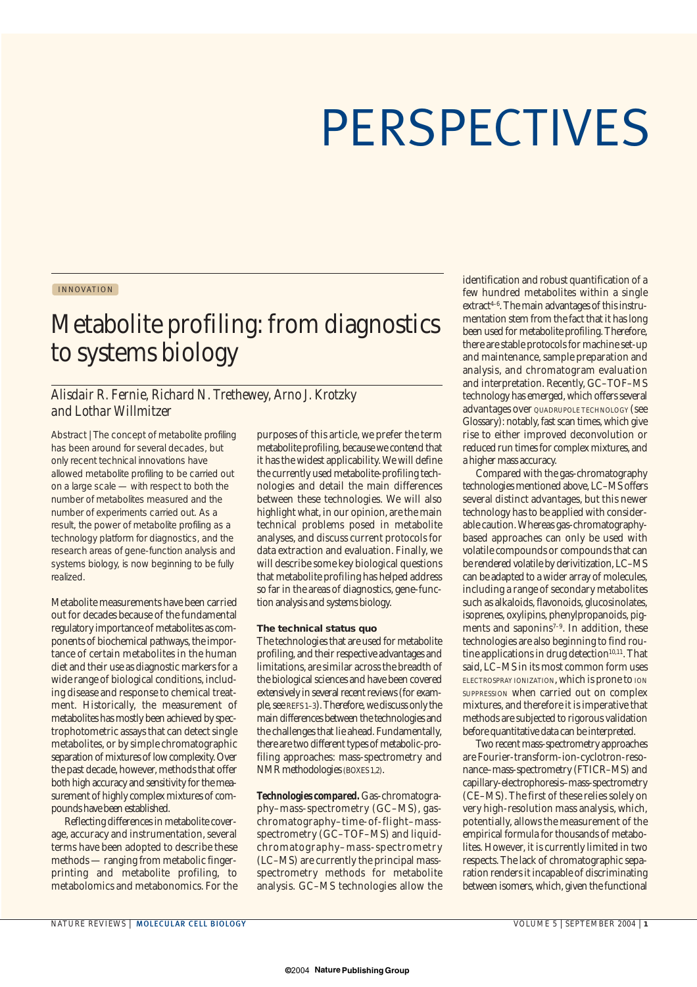#### INNOVATION

## Metabolite profiling: from diagnostics to systems biology

## *Alisdair R. Fernie, Richard N. Trethewey, Arno J. Krotzky and Lothar Willmitzer*

Abstract | The concept of metabolite profiling has been around for several decades, but only recent technical innovations have allowed metabolite profiling to be carried out on a large scale — with respect to both the number of metabolites measured and the number of experiments carried out. As a result, the power of metabolite profiling as a technology platform for diagnostics, and the research areas of gene-function analysis and systems biology, is now beginning to be fully realized.

Metabolite measurements have been carried out for decades because of the fundamental regulatory importance of metabolites as components of biochemical pathways, the importance of certain metabolites in the human diet and their use as diagnostic markers for a wide range of biological conditions, including disease and response to chemical treatment. Historically, the measurement of metabolites has mostly been achieved by spectrophotometric assays that can detect single metabolites, or by simple chromatographic separation of mixtures of low complexity. Over the past decade, however, methods that offer both high accuracy and sensitivity for the measurement of highly complex mixtures of compounds have been established.

Reflecting differences in metabolite coverage, accuracy and instrumentation, several terms have been adopted to describe these methods — ranging from metabolic fingerprinting and metabolite profiling, to metabolomics and metabonomics. For the

purposes of this article, we prefer the term metabolite profiling, because we contend that it has the widest applicability. We will define the currently used metabolite-profiling technologies and detail the main differences between these technologies. We will also highlight what, in our opinion, are the main technical problems posed in metabolite analyses, and discuss current protocols for data extraction and evaluation. Finally, we will describe some key biological questions that metabolite profiling has helped address so far in the areas of diagnostics, gene-function analysis and systems biology.

#### **The technical status quo**

The technologies that are used for metabolite profiling, and their respective advantages and limitations, are similar across the breadth of the biological sciences and have been covered extensively in several recent reviews (for example, see REFS 1–3). Therefore, we discuss only the main differences between the technologies and the challenges that lie ahead. Fundamentally, there are two different types of metabolic-profiling approaches: mass-spectrometry and NMR methodologies (BOXES 1,2).

*Technologies compared.* Gas-chromatography–mass-spectrometry (GC–MS), gaschromatography–time-of-flight–massspectrometry (GC–TOF–MS) and liquidchromatography–mass-spectrometry (LC–MS) are currently the principal massspectrometry methods for metabolite analysis. GC–MS technologies allow the

identification and robust quantification of a few hundred metabolites within a single  $extract<sup>4-6</sup>$ . The main advantages of this instrumentation stem from the fact that it has long been used for metabolite profiling. Therefore, there are stable protocols for machine set-up and maintenance, sample preparation and analysis, and chromatogram evaluation and interpretation. Recently, GC–TOF–MS technology has emerged, which offers several advantages over QUADRUPOLE TECHNOLOGY (see Glossary): notably, fast scan times, which give rise to either improved deconvolution or reduced run times for complex mixtures, and a higher mass accuracy.

Compared with the gas-chromatography technologies mentioned above, LC–MS offers several distinct advantages, but this newer technology has to be applied with considerable caution. Whereas gas-chromatographybased approaches can only be used with volatile compounds or compounds that can be rendered volatile by derivitization, LC–MS can be adapted to a wider array of molecules, including a range of secondary metabolites such as alkaloids, flavonoids, glucosinolates, isoprenes, oxylipins, phenylpropanoids, pigments and saponins<sup> $7-9$ </sup>. In addition, these technologies are also beginning to find routine applications in drug detection<sup>10,11</sup>. That said, LC–MS in its most common form uses ELECTROSPRAY IONIZATION, which is prone to ION SUPPRESSION when carried out on complex mixtures, and therefore it is imperative that methods are subjected to rigorous validation before quantitative data can be interpreted.

Two recent mass-spectrometry approaches are Fourier-transform-ion-cyclotron-resonance–mass-spectrometry (FTICR–MS) and capillary-electrophoresis–mass-spectrometry (CE–MS). The first of these relies solely on very high-resolution mass analysis, which, potentially, allows the measurement of the empirical formula for thousands of metabolites. However, it is currently limited in two respects. The lack of chromatographic separation renders it incapable of discriminating between isomers, which, given the functional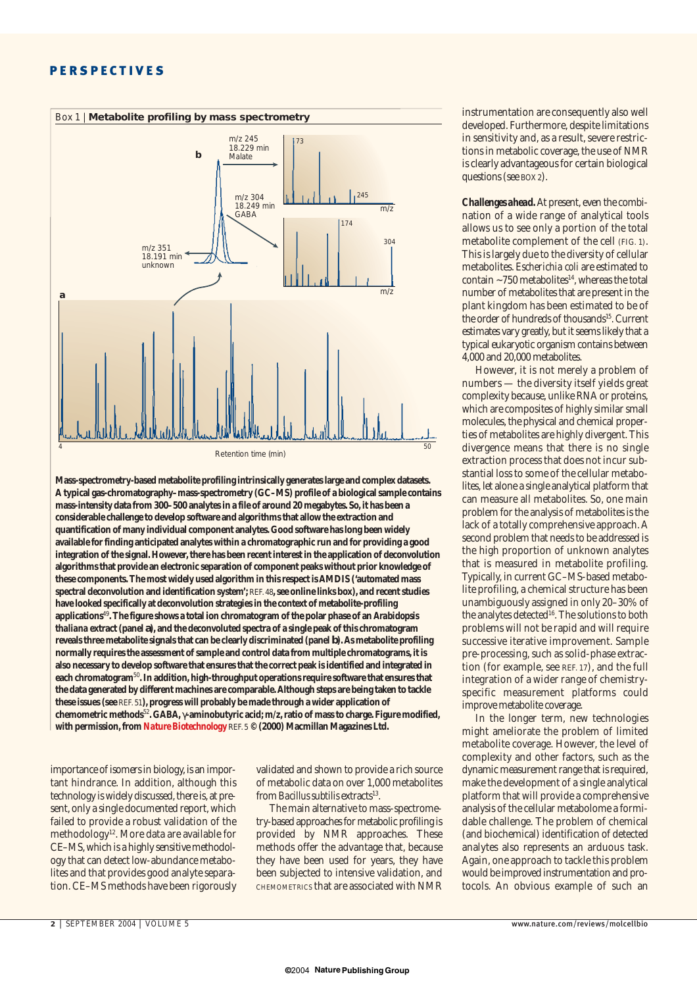

**Mass-spectrometry-based metabolite profiling intrinsically generates large and complex datasets. A typical gas-chromatography–mass-spectrometry (GC–MS) profile of a biological sample contains mass-intensity data from 300–500 analytes in a file of around 20 megabytes. So, it has been a considerable challenge to develop software and algorithms that allow the extraction and quantification of many individual component analytes. Good software has long been widely available for finding anticipated analytes within a chromatographic run and for providing a good integration of the signal. However, there has been recent interest in the application of deconvolution algorithms that provide an electronic separation of component peaks without prior knowledge of these components. The most widely used algorithm in this respect is AMDIS ('automated mass spectral deconvolution and identification system';** REF. 48**, see online links box), and recent studies have looked specifically at deconvolution strategies in the context of metabolite-profiling applications**<sup>49</sup>**.The figure shows a total ion chromatogram of the polar phase of an** *Arabidopsis thaliana* **extract (panel a), and the deconvoluted spectra of a single peak of this chromatogram reveals three metabolite signals that can be clearly discriminated (panel b). As metabolite profiling normally requires the assessment of sample and control data from multiple chromatograms, it is also necessary to develop software that ensures that the correct peak is identified and integrated in each chromatogram**<sup>50</sup>**. In addition, high-throughput operations require software that ensures that the data generated by different machines are comparable. Although steps are being taken to tackle these issues (see** REF. 51**), progress will probably be made through a wider application of chemometric methods**<sup>52</sup>**.GABA,** γ**-aminobutyric acid; m/z, ratio of mass to charge. Figure modified, with permission, from** *Nature Biotechnology* REF. 5**© (2000) Macmillan Magazines Ltd.**

importance of isomers in biology, is an important hindrance. In addition, although this technology is widely discussed, there is, at present, only a single documented report, which failed to provide a robust validation of the methodology<sup>12</sup>. More data are available for CE–MS, which is a highly sensitive methodology that can detect low-abundance metabolites and that provides good analyte separation. CE–MS methods have been rigorously

validated and shown to provide a rich source of metabolic data on over 1,000 metabolites from *Bacillus subtilis* extracts<sup>13</sup>.

The main alternative to mass-spectrometry-based approaches for metabolic profiling is provided by NMR approaches. These methods offer the advantage that, because they have been used for years, they have been subjected to intensive validation, and CHEMOMETRICS that are associated with NMR instrumentation are consequently also well developed. Furthermore, despite limitations in sensitivity and, as a result, severe restrictions in metabolic coverage, the use of NMR is clearly advantageous for certain biological questions (see BOX 2).

*Challenges ahead.*At present, even the combination of a wide range of analytical tools allows us to see only a portion of the total metabolite complement of the cell (FIG. 1). This is largely due to the diversity of cellular metabolites. *Escherichia coli* are estimated to contain  $\sim$  750 metabolites<sup>14</sup>, whereas the total number of metabolites that are present in the plant kingdom has been estimated to be of the order of hundreds of thousands<sup>15</sup>. Current estimates vary greatly, but it seems likely that a typical eukaryotic organism contains between 4,000 and 20,000 metabolites.

However, it is not merely a problem of numbers — the diversity itself yields great complexity because, unlike RNA or proteins, which are composites of highly similar small molecules, the physical and chemical properties of metabolites are highly divergent. This divergence means that there is no single extraction process that does not incur substantial loss to some of the cellular metabolites, let alone a single analytical platform that can measure all metabolites. So, one main problem for the analysis of metabolites is the lack of a totally comprehensive approach. A second problem that needs to be addressed is the high proportion of unknown analytes that is measured in metabolite profiling. Typically, in current GC–MS-based metabolite profiling, a chemical structure has been unambiguously assigned in only 20–30% of the analytes detected<sup>16</sup>. The solutions to both problems will not be rapid and will require successive iterative improvement. Sample pre-processing, such as solid-phase extraction (for example, see REF. 17), and the full integration of a wider range of chemistryspecific measurement platforms could improve metabolite coverage.

In the longer term, new technologies might ameliorate the problem of limited metabolite coverage. However, the level of complexity and other factors, such as the dynamic measurement range that is required, make the development of a single analytical platform that will provide a comprehensive analysis of the cellular metabolome a formidable challenge. The problem of chemical (and biochemical) identification of detected analytes also represents an arduous task. Again, one approach to tackle this problem would be improved instrumentation and protocols. An obvious example of such an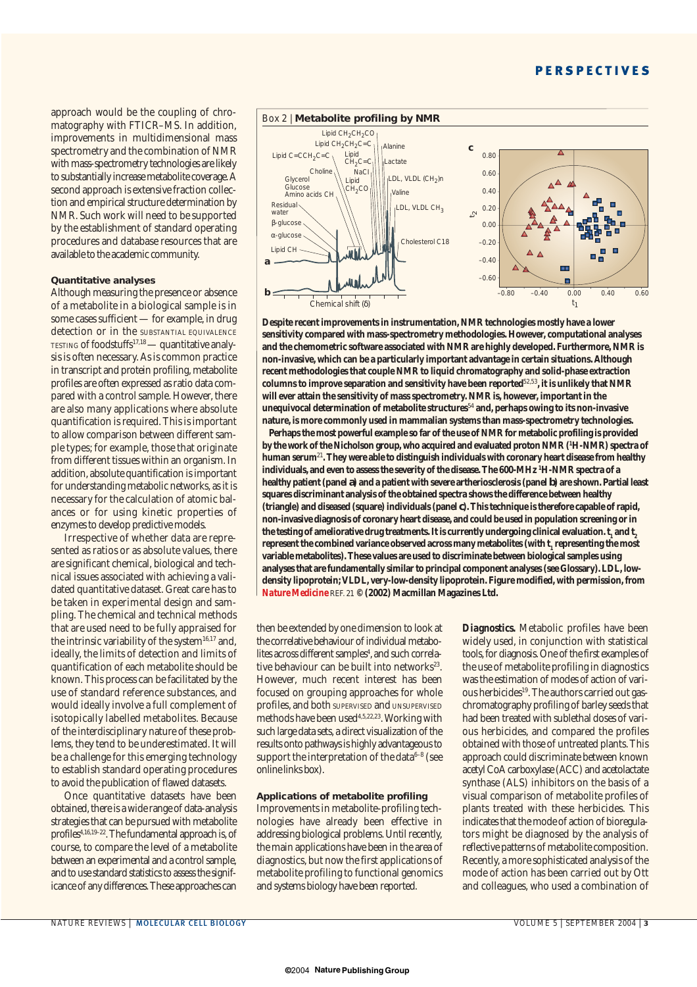approach would be the coupling of chromatography with FTICR–MS. In addition, improvements in multidimensional mass spectrometry and the combination of NMR with mass-spectrometry technologies are likely to substantially increase metabolite coverage.A second approach is extensive fraction collection and empirical structure determination by NMR. Such work will need to be supported by the establishment of standard operating procedures and database resources that are available to the academic community.

#### **Quantitative analyses**

Although measuring the presence or absence of a metabolite in a biological sample is in some cases sufficient — for example, in drug detection or in the SUBSTANTIAL EQUIVALENCE TESTING of foodstuffs17,18 — quantitative analysis is often necessary. As is common practice in transcript and protein profiling, metabolite profiles are often expressed as ratio data compared with a control sample. However, there are also many applications where absolute quantification is required. This is important to allow comparison between different sample types; for example, those that originate from different tissues within an organism. In addition, absolute quantification is important for understanding metabolic networks, as it is necessary for the calculation of atomic balances or for using kinetic properties of enzymes to develop predictive models.

Irrespective of whether data are represented as ratios or as absolute values, there are significant chemical, biological and technical issues associated with achieving a validated quantitative dataset. Great care has to be taken in experimental design and sampling. The chemical and technical methods that are used need to be fully appraised for the intrinsic variability of the system $16,17$  and, ideally, the limits of detection and limits of quantification of each metabolite should be known. This process can be facilitated by the use of standard reference substances, and would ideally involve a full complement of isotopically labelled metabolites. Because of the interdisciplinary nature of these problems, they tend to be underestimated. It will be a challenge for this emerging technology to establish standard operating procedures to avoid the publication of flawed datasets.

Once quantitative datasets have been obtained, there is a wide range of data-analysis strategies that can be pursued with metabolite profiles4,16,19–22.The fundamental approach is,of course, to compare the level of a metabolite between an experimental and a control sample, and to use standard statistics to assess the significance of any differences.These approaches can



**Despite recent improvements in instrumentation, NMR technologies mostly have a lower sensitivity compared with mass-spectrometry methodologies. However, computational analyses and the chemometric software associated with NMR are highly developed. Furthermore, NMR is non-invasive, which can be a particularly important advantage in certain situations. Although recent methodologies that couple NMR to liquid chromatography and solid-phase extraction columns to improve separation and sensitivity have been reported**52,53**, it is unlikely that NMR will ever attain the sensitivity of mass spectrometry. NMR is, however, important in the unequivocal determination of metabolite structures**<sup>54</sup> **and, perhaps owing to its non-invasive nature, is more commonly used in mammalian systems than mass-spectrometry technologies.**

**Perhaps the most powerful example so far of the use of NMR for metabolic profiling is provided by the work of the Nicholson group, who acquired and evaluated proton NMR (1 H-NMR) spectra of human serum**<sup>21</sup>**.They were able to distinguish individuals with coronary heart disease from healthy individuals, and even to assess the severity of the disease. The 600-MHz 1 H-NMR spectra of a healthy patient (panel a) and a patient with severe artheriosclerosis (panel b) are shown. Partial least squares discriminant analysis of the obtained spectra shows the difference between healthy (triangle) and diseased (square) individuals (panel c). This technique is therefore capable of rapid, non-invasive diagnosis of coronary heart disease, and could be used in population screening or in** the testing of ameliorative drug treatments. It is currently undergoing clinical evaluation.  $t_1$  and  $t_2$ represent the combined variance observed across many metabolites (with t<sub>1</sub> representing the most **variable metabolites). These values are used to discriminate between biological samples using analyses that are fundamentally similar to principal component analyses (see Glossary). LDL, lowdensity lipoprotein; VLDL, very-low-density lipoprotein. Figure modified, with permission, from** *Nature Medicine* REF. 21 **© (2002) Macmillan Magazines Ltd.**

then be extended by one dimension to look at the correlative behaviour of individual metabolites across different samples<sup>4</sup>, and such correlative behaviour can be built into networks<sup>23</sup>. However, much recent interest has been focused on grouping approaches for whole profiles, and both SUPERVISED and UNSUPERVISED methods have been used<sup>4,5,22,23</sup>. Working with such large data sets, a direct visualization of the results onto pathways is highly advantageous to support the interpretation of the data $6-8$  (see online links box).

#### **Applications of metabolite profiling**

Improvements in metabolite-profiling technologies have already been effective in addressing biological problems. Until recently, the main applications have been in the area of diagnostics, but now the first applications of metabolite profiling to functional genomics and systems biology have been reported.

*Diagnostics.* Metabolic profiles have been widely used, in conjunction with statistical tools, for diagnosis. One of the first examples of the use of metabolite profiling in diagnostics was the estimation of modes of action of various herbicides<sup>19</sup>. The authors carried out gaschromatography profiling of barley seeds that had been treated with sublethal doses of various herbicides, and compared the profiles obtained with those of untreated plants. This approach could discriminate between known acetyl CoA carboxylase (ACC) and acetolactate synthase (ALS) inhibitors on the basis of a visual comparison of metabolite profiles of plants treated with these herbicides. This indicates that the mode of action of bioregulators might be diagnosed by the analysis of reflective patterns of metabolite composition. Recently, a more sophisticated analysis of the mode of action has been carried out by Ott and colleagues, who used a combination of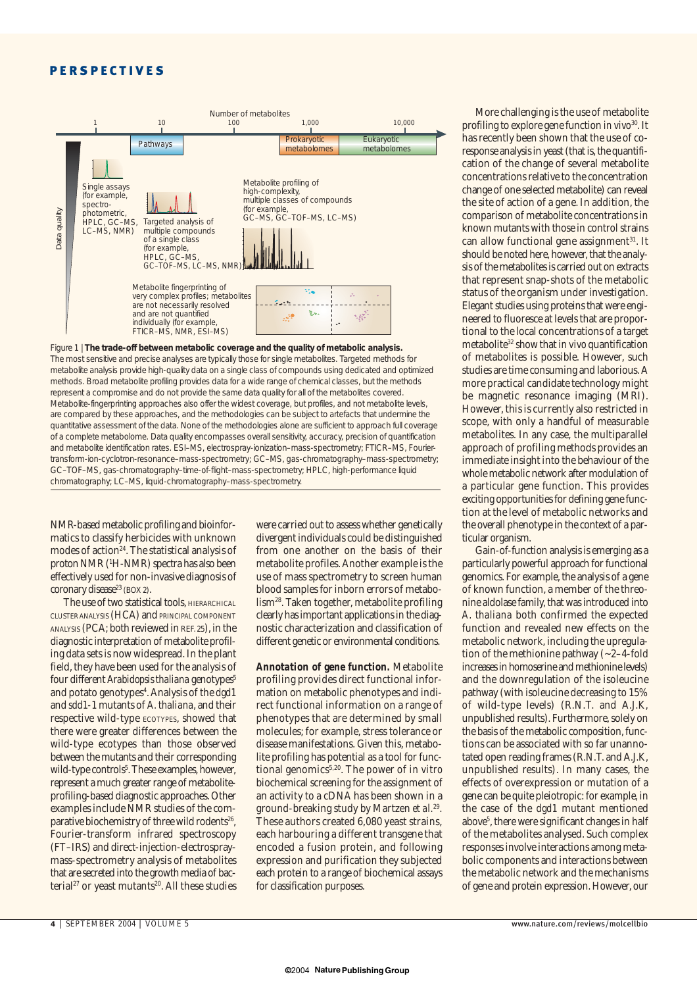

The most sensitive and precise analyses are typically those for single metabolites. Targeted methods for metabolite analysis provide high-quality data on a single class of compounds using dedicated and optimized methods. Broad metabolite profiling provides data for a wide range of chemical classes, but the methods represent a compromise and do not provide the same data quality for all of the metabolites covered. Metabolite-fingerprinting approaches also offer the widest coverage, but profiles, and not metabolite levels, are compared by these approaches, and the methodologies can be subject to artefacts that undermine the quantitative assessment of the data. None of the methodologies alone are sufficient to approach full coverage of a complete metabolome. Data quality encompasses overall sensitivity, accuracy, precision of quantification and metabolite identification rates. ESI–MS, electrospray-ionization–mass-spectrometry; FTICR–MS, Fouriertransform-ion-cyclotron-resonance–mass-spectrometry; GC–MS, gas-chromatography–mass-spectrometry; GC–TOF–MS, gas-chromatography–time-of-flight–mass-spectrometry; HPLC, high-performance liquid chromatography; LC–MS, liquid-chromatography–mass-spectrometry.

NMR-based metabolic profiling and bioinformatics to classify herbicides with unknown modes of action<sup>24</sup>. The statistical analysis of proton NMR (1 H-NMR) spectra has also been effectively used for non-invasive diagnosis of coronary disease<sup>23</sup> (BOX 2).

The use of two statistical tools, HIERARCHICAL CLUSTER ANALYSIS (HCA) and PRINCIPAL COMPONENT ANALYSIS (PCA; both reviewed in REF. 25), in the diagnostic interpretation of metabolite profiling data sets is now widespread. In the plant field, they have been used for the analysis of four different *Arabidopsis thaliana* genotypes<sup>5</sup> and potato genotypes4 . Analysis of the *dgd1* and *sdd1-1* mutants of *A. thaliana*, and their respective wild-type ECOTYPES, showed that there were greater differences between the wild-type ecotypes than those observed between the mutants and their corresponding wild-type controls<sup>5</sup>. These examples, however, represent a much greater range of metaboliteprofiling-based diagnostic approaches. Other examples include NMR studies of the comparative biochemistry of three wild rodents<sup>26</sup>, Fourier-transform infrared spectroscopy (FT–IRS) and direct-injection-electrospraymass-spectrometry analysis of metabolites that are secreted into the growth media of bacterial<sup>27</sup> or yeast mutants<sup>20</sup>. All these studies

were carried out to assess whether genetically divergent individuals could be distinguished from one another on the basis of their metabolite profiles. Another example is the use of mass spectrometry to screen human blood samples for inborn errors of metabolism28. Taken together, metabolite profiling clearly has important applications in the diagnostic characterization and classification of different genetic or environmental conditions.

*Annotation of gene function.* Metabolite profiling provides direct functional information on metabolic phenotypes and indirect functional information on a range of phenotypes that are determined by small molecules; for example, stress tolerance or disease manifestations. Given this, metabolite profiling has potential as a tool for functional genomics<sup>5,20</sup>. The power of *in vitro* biochemical screening for the assignment of an activity to a cDNA has been shown in a ground-breaking study by Martzen *et al.*29. These authors created 6,080 yeast strains, each harbouring a different transgene that encoded a fusion protein, and following expression and purification they subjected each protein to a range of biochemical assays for classification purposes.

More challenging is the use of metabolite profiling to explore gene function *in vivo*30. It has recently been shown that the use of coresponse analysis in yeast (that is, the quantification of the change of several metabolite concentrations relative to the concentration change of one selected metabolite) can reveal the site of action of a gene. In addition, the comparison of metabolite concentrations in known mutants with those in control strains can allow functional gene assignment<sup>31</sup>. It should be noted here, however, that the analysis of the metabolites is carried out on extracts that represent snap-shots of the metabolic status of the organism under investigation. Elegant studies using proteins that were engineered to fluoresce at levels that are proportional to the local concentrations of a target metabolite32 show that *in vivo* quantification of metabolites is possible. However, such studies are time consuming and laborious. A more practical candidate technology might be magnetic resonance imaging (MRI). However, this is currently also restricted in scope, with only a handful of measurable metabolites. In any case, the multiparallel approach of profiling methods provides an immediate insight into the behaviour of the whole metabolic network after modulation of a particular gene function. This provides exciting opportunities for defining gene function at the level of metabolic networks and the overall phenotype in the context of a particular organism.

Gain-of-function analysis is emerging as a particularly powerful approach for functional genomics. For example, the analysis of a gene of known function, a member of the threonine aldolase family, that was introduced into *A. thaliana* both confirmed the expected function and revealed new effects on the metabolic network, including the upregulation of the methionine pathway  $(-2-4-fold)$ increases in homoserine and methionine levels) and the downregulation of the isoleucine pathway (with isoleucine decreasing to 15% of wild-type levels) (R.N.T. and A.J.K, unpublished results). Furthermore, solely on the basis of the metabolic composition, functions can be associated with so far unannotated open reading frames (R.N.T. and A.J.K, unpublished results). In many cases, the effects of overexpression or mutation of a gene can be quite pleiotropic: for example, in the case of the *dgd1* mutant mentioned above<sup>5</sup>, there were significant changes in half of the metabolites analysed. Such complex responses involve interactions among metabolic components and interactions between the metabolic network and the mechanisms of gene and protein expression. However, our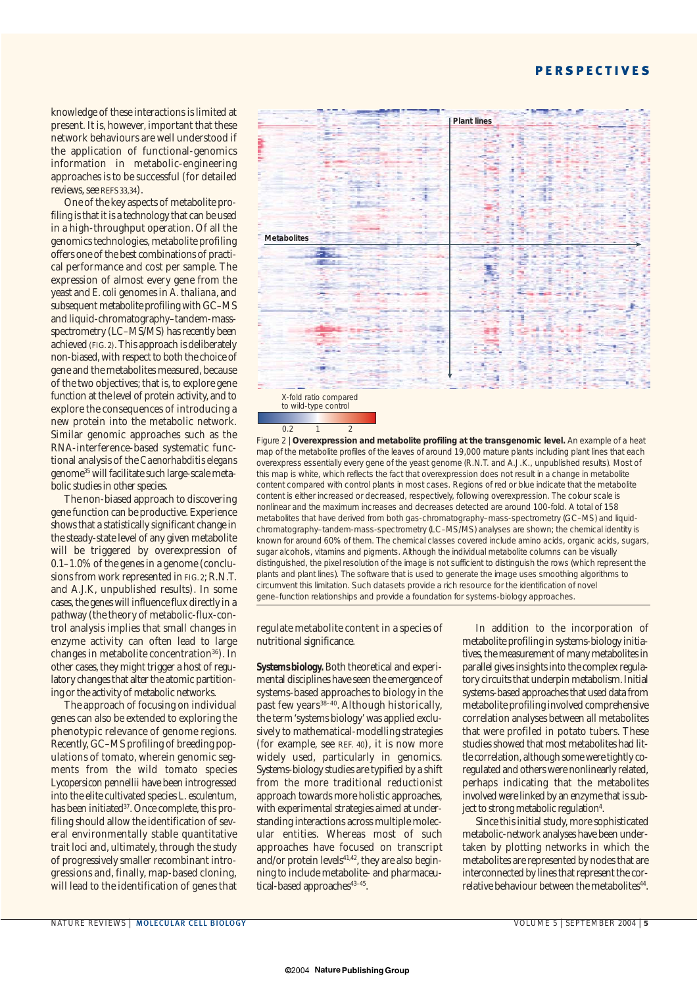knowledge of these interactions is limited at present. It is, however, important that these network behaviours are well understood if the application of functional-genomics information in metabolic-engineering approaches is to be successful (for detailed reviews, see REFS 33,34).

One of the key aspects of metabolite profiling is that it is a technology that can be used in a high-throughput operation. Of all the genomics technologies, metabolite profiling offers one of the best combinations of practical performance and cost per sample. The expression of almost every gene from the yeast and *E. coli* genomes in *A. thaliana*, and subsequent metabolite profiling with GC–MS and liquid-chromatography–tandem-massspectrometry (LC–MS/MS) has recently been achieved (FIG. 2). This approach is deliberately non-biased, with respect to both the choice of gene and the metabolites measured, because of the two objectives; that is, to explore gene function at the level of protein activity, and to explore the consequences of introducing a new protein into the metabolic network. Similar genomic approaches such as the RNA-interference-based systematic functional analysis of the *Caenorhabditis elegans* genome35 will facilitate such large-scale metabolic studies in other species.

The non-biased approach to discovering gene function can be productive. Experience shows that a statistically significant change in the steady-state level of any given metabolite will be triggered by overexpression of 0.1–1.0% of the genes in a genome (conclusions from work represented in FIG. 2; R.N.T. and A.J.K, unpublished results). In some cases, the genes will influence flux directly in a pathway (the theory of metabolic-flux-control analysis implies that small changes in enzyme activity can often lead to large changes in metabolite concentration<sup>36</sup>). In other cases, they might trigger a host of regulatory changes that alter the atomic partitioning or the activity of metabolic networks.

The approach of focusing on individual genes can also be extended to exploring the phenotypic relevance of genome regions. Recently, GC–MS profiling of breeding populations of tomato, wherein genomic segments from the wild tomato species *Lycopersicon pennellii* have been introgressed into the elite cultivated species *L. esculentum*, has been initiated<sup>37</sup>. Once complete, this profiling should allow the identification of several environmentally stable quantitative trait loci and, ultimately, through the study of progressively smaller recombinant introgressions and, finally, map-based cloning, will lead to the identification of genes that



map of the metabolite profiles of the leaves of around 19,000 mature plants including plant lines that each overexpress essentially every gene of the yeast genome (R.N.T. and A.J.K., unpublished results). Most of this map is white, which reflects the fact that overexpression does not result in a change in metabolite content compared with control plants in most cases. Regions of red or blue indicate that the metabolite content is either increased or decreased, respectively, following overexpression. The colour scale is nonlinear and the maximum increases and decreases detected are around 100-fold. A total of 158 metabolites that have derived from both gas-chromatography–mass-spectrometry (GC–MS) and liquidchromatography–tandem-mass-spectrometry (LC–MS/MS) analyses are shown; the chemical identity is known for around 60% of them. The chemical classes covered include amino acids, organic acids, sugars, sugar alcohols, vitamins and pigments. Although the individual metabolite columns can be visually distinguished, the pixel resolution of the image is not sufficient to distinguish the rows (which represent the plants and plant lines). The software that is used to generate the image uses smoothing algorithms to circumvent this limitation. Such datasets provide a rich resource for the identification of novel gene–function relationships and provide a foundation for systems-biology approaches.

#### regulate metabolite content in a species of nutritional significance.

*Systems biology.* Both theoretical and experimental disciplines have seen the emergence of systems-based approaches to biology in the past few years<sup>38-40</sup>. Although historically, the term'systems biology' was applied exclusively to mathematical-modelling strategies (for example, see REF. 40), it is now more widely used, particularly in genomics. Systems-biology studies are typified by a shift from the more traditional reductionist approach towards more holistic approaches, with experimental strategies aimed at understanding interactions across multiple molecular entities. Whereas most of such approaches have focused on transcript and/or protein levels $41,42$ , they are also beginning to include metabolite- and pharmaceutical-based approaches<sup>43-45</sup>.

In addition to the incorporation of metabolite profiling in systems-biology initiatives, the measurement of many metabolites in parallel gives insights into the complex regulatory circuits that underpin metabolism. Initial systems-based approaches that used data from metabolite profiling involved comprehensive correlation analyses between all metabolites that were profiled in potato tubers. These studies showed that most metabolites had little correlation, although some were tightly coregulated and others were nonlinearly related, perhaps indicating that the metabolites involved were linked by an enzyme that is subject to strong metabolic regulation<sup>4</sup>.

Since this initial study, more sophisticated metabolic-network analyses have been undertaken by plotting networks in which the metabolites are represented by nodes that are interconnected by lines that represent the correlative behaviour between the metabolites<sup>44</sup>.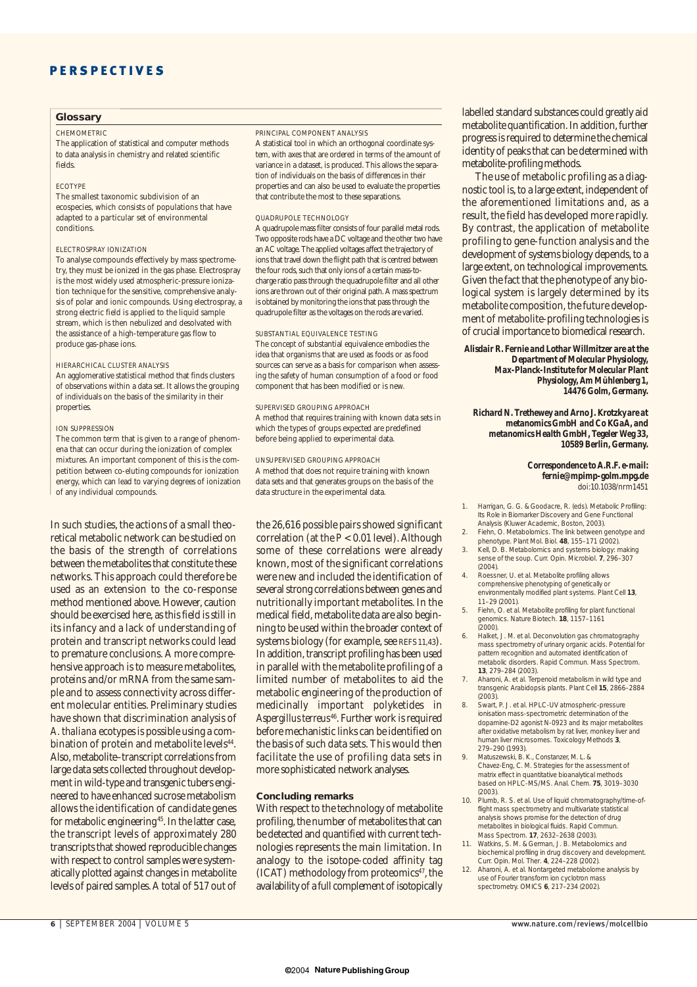#### **Glossary**

#### **CHEMOMETRIC**

The application of statistical and computer methods to data analysis in chemistry and related scientific fields.

#### **ECOTYPE**

The smallest taxonomic subdivision of an ecospecies, which consists of populations that have adapted to a particular set of environmental conditions.

#### ELECTROSPRAY IONIZATION

To analyse compounds effectively by mass spectrometry, they must be ionized in the gas phase. Electrospray is the most widely used atmospheric-pressure ionization technique for the sensitive, comprehensive analysis of polar and ionic compounds. Using electrospray, a strong electric field is applied to the liquid sample stream, which is then nebulized and desolvated with the assistance of a high-temperature gas flow to produce gas-phase ions.

#### HIERARCHICAL CLUSTER ANALYSIS

An agglomerative statistical method that finds clusters of observations within a data set. It allows the grouping of individuals on the basis of the similarity in their properties.

#### ION SUPPRESSION

The common term that is given to a range of phenomena that can occur during the ionization of complex mixtures. An important component of this is the competition between co-eluting compounds for ionization energy, which can lead to varying degrees of ionization of any individual compounds.

In such studies, the actions of a small theoretical metabolic network can be studied on the basis of the strength of correlations between the metabolites that constitute these networks. This approach could therefore be used as an extension to the co-response method mentioned above. However, caution should be exercised here, as this field is still in its infancy and a lack of understanding of protein and transcript networks could lead to premature conclusions. A more comprehensive approach is to measure metabolites, proteins and/or mRNA from the same sample and to assess connectivity across different molecular entities. Preliminary studies have shown that discrimination analysis of *A. thaliana* ecotypes is possible using a combination of protein and metabolite levels<sup>44</sup>. Also, metabolite–transcript correlations from large data sets collected throughout development in wild-type and transgenic tubers engineered to have enhanced sucrose metabolism allows the identification of candidate genes for metabolic engineering 45. In the latter case, the transcript levels of approximately 280 transcripts that showed reproducible changes with respect to control samples were systematically plotted against changes in metabolite levels of paired samples. A total of 517 out of

#### PRINCIPAL COMPONENT ANALYSIS

A statistical tool in which an orthogonal coordinate system, with axes that are ordered in terms of the amount of variance in a dataset, is produced. This allows the separation of individuals on the basis of differences in their properties and can also be used to evaluate the properties that contribute the most to these separations.

#### QUADRUPOLE TECHNOLOGY

A quadrupole mass filter consists of four parallel metal rods. Two opposite rods have a DC voltage and the other two have an AC voltage. The applied voltages affect the trajectory of ions that travel down the flight path that is centred between the four rods, such that only ions of a certain mass-tocharge ratio pass through the quadrupole filter and all other ions are thrown out of their original path. A mass spectrum is obtained by monitoring the ions that pass through the quadrupole filter as the voltages on the rods are varied.

#### SUBSTANTIAL EQUIVALENCE TESTING

The concept of substantial equivalence embodies the idea that organisms that are used as foods or as food sources can serve as a basis for comparison when assessing the safety of human consumption of a food or food component that has been modified or is new.

#### SUPERVISED GROUPING APPROACH A method that requires training with known data sets in

which the types of groups expected are predefined before being applied to experimental data.

#### UNSUPERVISED GROUPING APPROACH

A method that does not require training with known data sets and that generates groups on the basis of the data structure in the experimental data.

the 26,616 possible pairs showed significant correlation (at the *P* < 0.01 level). Although some of these correlations were already known, most of the significant correlations were new and included the identification of several strong correlations between genes and nutritionally important metabolites. In the medical field, metabolite data are also beginning to be used within the broader context of systems biology (for example, see REFS 11,43). In addition, transcript profiling has been used in parallel with the metabolite profiling of a limited number of metabolites to aid the metabolic engineering of the production of medicinally important polyketides in *Aspergillus terreus* 46. Further work is required before mechanistic links can be identified on the basis of such data sets. This would then facilitate the use of profiling data sets in more sophisticated network analyses.

#### **Concluding remarks**

With respect to the technology of metabolite profiling, the number of metabolites that can be detected and quantified with current technologies represents the main limitation. In analogy to the isotope-coded affinity tag (ICAT) methodology from proteomics $47$ , the availability of a full complement of isotopically

labelled standard substances could greatly aid metabolite quantification. In addition, further progress is required to determine the chemical identity of peaks that can be determined with metabolite-profiling methods.

The use of metabolic profiling as a diagnostic tool is, to a large extent, independent of the aforementioned limitations and, as a result, the field has developed more rapidly. By contrast, the application of metabolite profiling to gene-function analysis and the development of systems biology depends, to a large extent, on technological improvements. Given the fact that the phenotype of any biological system is largely determined by its metabolite composition, the future development of metabolite-profiling technologies is of crucial importance to biomedical research.

*Alisdair R. Fernie and Lothar Willmitzer are at the Department of Molecular Physiology, Max-Planck-Institute for Molecular Plant Physiology, Am Mühlenberg 1, 14476 Golm, Germany.*

*Richard N. Trethewey and Arno J. Krotzky are at metanomics GmbH and Co KGaA, and metanomics Health GmbH, Tegeler Weg 33, 10589 Berlin, Germany.*

> *Correspondence to A.R.F. e-mail: fernie@mpimp-golm.mpg.de* doi:10.1038/nrm1451

- 1. Harrigan, G. G. & Goodacre, R. (eds). *Metabolic Profiling: Its Role in Biomarker Discovery and Gene Functional Analysis* (Kluwer Academic, Boston, 2003).
- 2. Fiehn, O. Metabolomics. The link between genotype and phenotype. *Plant Mol. Biol.* **48**, 155–171 (2002).
- 3. Kell, D. B. Metabolomics and systems biology: making sense of the soup. *Curr. Opin. Microbiol.* **7**, 296–307 (2004).
- 4. Roessner, U. *et al.* Metabolite profiling allows comprehensive phenotyping of genetically or environmentally modified plant systems*. Plant Cell* **13**, 11–29 (2001).
- 5. Fiehn, O. *et al.* Metabolite profiling for plant functional genomics. *Nature Biotech.* **18**, 1157–1161 (2000).
- 6. Halket, J. M. *et al.* Deconvolution gas chromatography mass spectrometry of urinary organic acids. Potential for pattern recognition and automated identification of metabolic disorders. *Rapid Commun. Mass Spectrom.* **13**, 279–284 (2003).
- 7. Aharoni, A. *et al.* Terpenoid metabolism in wild type and transgenic *Arabidopsis* plants. *Plant Cell* **15**, 2866–2884  $(2003)$
- 8. Swart, P. J. *et al.* HPLC-UV atmospheric-pressure ionisation mass-spectrometric determination of the dopamine-D2 agonist N-0923 and its major metabolites after oxidative metabolism by rat liver, monkey liver and human liver microsomes. *Toxicology Methods* **3**,
- 279–290 (1993). 9. Matuszewski, B. K., Constanzer, M. L. & Chavez-Eng, C. M. Strategies for the assessment of matrix effect in quantitative bioanalytical methods based on HPLC-MS/MS. *Anal. Chem.* **75**, 3019–3030 (2003).
- 10. Plumb, R. S. *et al.* Use of liquid chromatography/time-offlight mass spectrometry and multivariate statistical analysis shows promise for the detection of drug metabolites in biological fluids. *Rapid Commun. Mass Spectrom.* **17**, 2632–2638 (2003).
- 11. Watkins, S. M. & German, J. B. Metabolomics and biochemical profiling in drug discovery and development.
- *Curr. Opin. Mol. Ther*. **4**, 224–228 (2002). 12. Aharoni, A. *et al.* Nontargeted metabolome analysis by use of Fourier transform ion cyclotron mass spectrometry. *OMICS* **6**, 217–234 (2002).